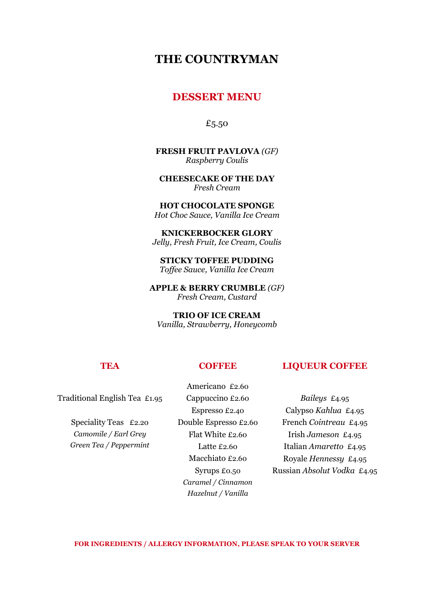# **THE COUNTRYMAN**

## **DESSERT MENU**

£5.50

**FRESH FRUIT PAVLOVA** *(GF)* *Raspberry Coulis*

**CHEESECAKE OF THE DAY**  *Fresh Cream*

**HOT CHOCOLATE SPONGE** *Hot Choc Sauce, Vanilla Ice Cream*

**KNICKERBOCKER GLORY** *Jelly, Fresh Fruit, Ice Cream, Coulis*

**STICKY TOFFEE PUDDING**  *Toffee Sauce, Vanilla Ice Cream*

**APPLE & BERRY CRUMBLE** *(GF) Fresh Cream, Custard*

**TRIO OF ICE CREAM** *Vanilla, Strawberry, Honeycomb*

#### **TEA COFFEE LIQUEUR COFFEE**

Traditional English Tea £1.95

Speciality Teas £2.20 *Camomile / Earl Grey Green Tea / Peppermint*

Americano £2.60 Cappuccino £2.60 Espresso £2.40 Double Espresso £2.60 Flat White £2.60 Latte £2.60 Macchiato £2.60 Syrups £0.50 *Caramel / Cinnamon Hazelnut / Vanilla*

*Baileys* £4.95 Calypso *Kahlua* £4.95 French *Cointreau* £4.95 Irish *Jameson* £4.95 Italian *Amaretto* £4.95 Royale *Hennessy* £4.95 Russian *Absolut Vodka* £4.95

**FOR INGREDIENTS / ALLERGY INFORMATION, PLEASE SPEAK TO YOUR SERVER**